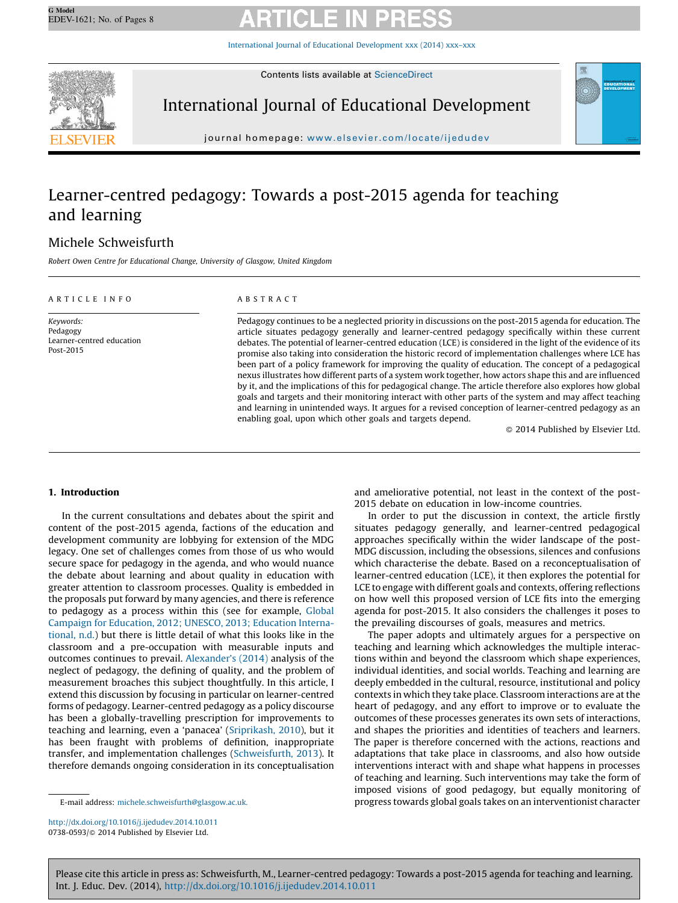International Journal of Educational [Development](http://dx.doi.org/10.1016/j.ijedudev.2014.10.011) xxx (2014) xxx–xxx



Contents lists available at [ScienceDirect](http://www.sciencedirect.com/science/journal/07380593)

## International Journal of Educational Development



journal homepage: www.elsevier.com/locate/ijedudev

# Learner-centred pedagogy: Towards a post-2015 agenda for teaching and learning

## Michele Schweisfurth

Robert Owen Centre for Educational Change, University of Glasgow, United Kingdom

#### A R T I C L E I N F O

#### Keywords: Pedagogy Learner-centred education Post-2015

#### A B S T R A C T

Pedagogy continues to be a neglected priority in discussions on the post-2015 agenda for education. The article situates pedagogy generally and learner-centred pedagogy specifically within these current debates. The potential of learner-centred education (LCE) is considered in the light of the evidence of its promise also taking into consideration the historic record of implementation challenges where LCE has been part of a policy framework for improving the quality of education. The concept of a pedagogical nexus illustrates how different parts of a system work together, how actors shape this and are influenced by it, and the implications of this for pedagogical change. The article therefore also explores how global goals and targets and their monitoring interact with other parts of the system and may affect teaching and learning in unintended ways. It argues for a revised conception of learner-centred pedagogy as an enabling goal, upon which other goals and targets depend.

- 2014 Published by Elsevier Ltd.

#### 1. Introduction

In the current consultations and debates about the spirit and content of the post-2015 agenda, factions of the education and development community are lobbying for extension of the MDG legacy. One set of challenges comes from those of us who would secure space for pedagogy in the agenda, and who would nuance the debate about learning and about quality in education with greater attention to classroom processes. Quality is embedded in the proposals put forward by many agencies, and there is reference to pedagogy as a process within this (see for example, [Global](#page--1-0) Campaign for [Education,](#page--1-0) 2012; UNESCO, 2013; Education Interna[tional,](#page--1-0) n.d.) but there is little detail of what this looks like in the classroom and a pre-occupation with measurable inputs and outcomes continues to prevail. [Alexander's](#page--1-0) (2014) analysis of the neglect of pedagogy, the defining of quality, and the problem of measurement broaches this subject thoughtfully. In this article, I extend this discussion by focusing in particular on learner-centred forms of pedagogy. Learner-centred pedagogy as a policy discourse has been a globally-travelling prescription for improvements to teaching and learning, even a 'panacea' [\(Sriprikash,](#page--1-0) 2010), but it has been fraught with problems of definition, inappropriate transfer, and implementation challenges ([Schweisfurth,](#page--1-0) 2013). It therefore demands ongoing consideration in its conceptualisation

<http://dx.doi.org/10.1016/j.ijedudev.2014.10.011> 0738-0593/© 2014 Published by Elsevier Ltd.

and ameliorative potential, not least in the context of the post-2015 debate on education in low-income countries.

In order to put the discussion in context, the article firstly situates pedagogy generally, and learner-centred pedagogical approaches specifically within the wider landscape of the post-MDG discussion, including the obsessions, silences and confusions which characterise the debate. Based on a reconceptualisation of learner-centred education (LCE), it then explores the potential for LCE to engage with different goals and contexts, offering reflections on how well this proposed version of LCE fits into the emerging agenda for post-2015. It also considers the challenges it poses to the prevailing discourses of goals, measures and metrics.

The paper adopts and ultimately argues for a perspective on teaching and learning which acknowledges the multiple interactions within and beyond the classroom which shape experiences, individual identities, and social worlds. Teaching and learning are deeply embedded in the cultural, resource, institutional and policy contexts in which they take place. Classroom interactions are atthe heart of pedagogy, and any effort to improve or to evaluate the outcomes of these processes generates its own sets of interactions, and shapes the priorities and identities of teachers and learners. The paper is therefore concerned with the actions, reactions and adaptations that take place in classrooms, and also how outside interventions interact with and shape what happens in processes of teaching and learning. Such interventions may take the form of imposed visions of good pedagogy, but equally monitoring of progress towards global goals takes on an interventionist character

Please cite this article in press as: Schweisfurth, M., Learner-centred pedagogy: Towards a post-2015 agenda for teaching and learning. Int. J. Educ. Dev. (2014), <http://dx.doi.org/10.1016/j.ijedudev.2014.10.011>

E-mail address: [michele.schweisfurth@glasgow.ac.uk.](mailto:michele.schweisfurth@glasgow.ac.uk)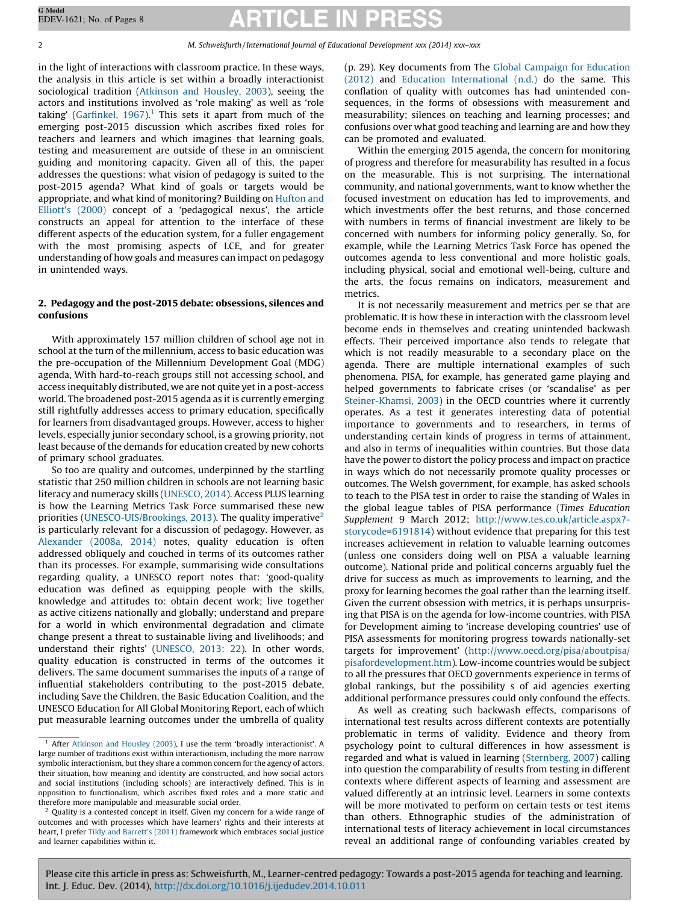#### 2 M. Schweisfurth / International Journal of Educational Development xxx (2014) xxx–xxx

in the light of interactions with classroom practice. In these ways, the analysis in this article is set within a broadly interactionist sociological tradition ([Atkinson](#page--1-0) and Housley, 2003), seeing the actors and institutions involved as 'role making' as well as 'role taking' ([Garfinkel,](#page--1-0) 1967).<sup>1</sup> This sets it apart from much of the emerging post-2015 discussion which ascribes fixed roles for teachers and learners and which imagines that learning goals, testing and measurement are outside of these in an omniscient guiding and monitoring capacity. Given all of this, the paper addresses the questions: what vision of pedagogy is suited to the post-2015 agenda? What kind of goals or targets would be appropriate, and what kind of monitoring? Building on [Hufton](#page--1-0) and [Elliott's](#page--1-0) (2000) concept of a 'pedagogical nexus', the article constructs an appeal for attention to the interface of these different aspects of the education system, for a fuller engagement with the most promising aspects of LCE, and for greater understanding of how goals and measures can impact on pedagogy in unintended ways.

### 2. Pedagogy and the post-2015 debate: obsessions, silences and confusions

With approximately 157 million children of school age not in school at the turn of the millennium, access to basic education was the pre-occupation of the Millennium Development Goal (MDG) agenda, With hard-to-reach groups still not accessing school, and access inequitably distributed, we are not quite yet in a post-access world. The broadened post-2015 agenda as it is currently emerging still rightfully addresses access to primary education, specifically for learners from disadvantaged groups. However, access to higher levels, especially junior secondary school, is a growing priority, not least because of the demands for education created by new cohorts of primary school graduates.

So too are quality and outcomes, underpinned by the startling statistic that 250 million children in schools are not learning basic literacy and numeracy skills [\(UNESCO,](#page--1-0) 2014). Access PLUS learning is how the Learning Metrics Task Force summarised these new priorities [\(UNESCO-UIS/Brookings,](#page--1-0) 2013). The quality imperative<sup>2</sup> is particularly relevant for a discussion of pedagogy. However, as [Alexander](#page--1-0) (2008a, 2014) notes, quality education is often addressed obliquely and couched in terms of its outcomes rather than its processes. For example, summarising wide consultations regarding quality, a UNESCO report notes that: 'good-quality education was defined as equipping people with the skills, knowledge and attitudes to: obtain decent work; live together as active citizens nationally and globally; understand and prepare for a world in which environmental degradation and climate change present a threat to sustainable living and livelihoods; and understand their rights' ([UNESCO,](#page--1-0) 2013: 22). In other words, quality education is constructed in terms of the outcomes it delivers. The same document summarises the inputs of a range of influential stakeholders contributing to the post-2015 debate, including Save the Children, the Basic Education Coalition, and the UNESCO Education for All Global Monitoring Report, each of which put measurable learning outcomes under the umbrella of quality

(p. 29). Key documents from The Global [Campaign](#page--1-0) for Education [\(2012\)](#page--1-0) and Education [International](#page--1-0) (n.d.) do the same. This conflation of quality with outcomes has had unintended consequences, in the forms of obsessions with measurement and measurability; silences on teaching and learning processes; and confusions over what good teaching and learning are and how they can be promoted and evaluated.

Within the emerging 2015 agenda, the concern for monitoring of progress and therefore for measurability has resulted in a focus on the measurable. This is not surprising. The international community, and national governments, want to know whether the focused investment on education has led to improvements, and which investments offer the best returns, and those concerned with numbers in terms of financial investment are likely to be concerned with numbers for informing policy generally. So, for example, while the Learning Metrics Task Force has opened the outcomes agenda to less conventional and more holistic goals, including physical, social and emotional well-being, culture and the arts, the focus remains on indicators, measurement and metrics.

It is not necessarily measurement and metrics per se that are problematic. It is how these in interaction with the classroom level become ends in themselves and creating unintended backwash effects. Their perceived importance also tends to relegate that which is not readily measurable to a secondary place on the agenda. There are multiple international examples of such phenomena. PISA, for example, has generated game playing and helped governments to fabricate crises (or 'scandalise' as per [Steiner-Khamsi,](#page--1-0) 2003) in the OECD countries where it currently operates. As a test it generates interesting data of potential importance to governments and to researchers, in terms of understanding certain kinds of progress in terms of attainment, and also in terms of inequalities within countries. But those data have the power to distort the policy process and impact on practice in ways which do not necessarily promote quality processes or outcomes. The Welsh government, for example, has asked schools to teach to the PISA test in order to raise the standing of Wales in the global league tables of PISA performance (Times Education Supplement 9 March 2012; [http://www.tes.co.uk/article.aspx?](http://www.tes.co.uk/article.aspx?storycode=6191814) [storycode=6191814](http://www.tes.co.uk/article.aspx?storycode=6191814)) without evidence that preparing for this test increases achievement in relation to valuable learning outcomes (unless one considers doing well on PISA a valuable learning outcome). National pride and political concerns arguably fuel the drive for success as much as improvements to learning, and the proxy for learning becomes the goal rather than the learning itself. Given the current obsession with metrics, it is perhaps unsurprising that PISA is on the agenda for low-income countries, with PISA for Development aiming to 'increase developing countries' use of PISA assessments for monitoring progress towards nationally-set targets for improvement' ([http://www.oecd.org/pisa/aboutpisa/](http://www.oecd.org/pisa/aboutpisa/pisafordevelopment.htm) [pisafordevelopment.htm\)](http://www.oecd.org/pisa/aboutpisa/pisafordevelopment.htm). Low-income countries would be subject to all the pressures that OECD governments experience in terms of global rankings, but the possibility s of aid agencies exerting additional performance pressures could only confound the effects.

As well as creating such backwash effects, comparisons of international test results across different contexts are potentially problematic in terms of validity. Evidence and theory from psychology point to cultural differences in how assessment is regarded and what is valued in learning [\(Sternberg,](#page--1-0) 2007) calling into question the comparability of results from testing in different contexts where different aspects of learning and assessment are valued differently at an intrinsic level. Learners in some contexts will be more motivated to perform on certain tests or test items than others. Ethnographic studies of the administration of international tests of literacy achievement in local circumstances reveal an additional range of confounding variables created by

Please cite this article in press as: Schweisfurth, M., Learner-centred pedagogy: Towards a post-2015 agenda for teaching and learning. Int. J. Educ. Dev. (2014), <http://dx.doi.org/10.1016/j.ijedudev.2014.10.011>

 $1$  After [Atkinson](#page--1-0) and Housley (2003), I use the term 'broadly interactionist'. A large number of traditions exist within interactionism, including the more narrow symbolic interactionism, but they share a common concern for the agency of actors, their situation, how meaning and identity are constructed, and how social actors and social institutions (including schools) are interactively defined. This is in opposition to functionalism, which ascribes fixed roles and a more static and therefore more manipulable and measurable social order.

Quality is a contested concept in itself. Given my concern for a wide range of outcomes and with processes which have learners' rights and their interests at heart, I prefer Tikly and [Barrett's](#page--1-0) (2011) framework which embraces social justice and learner capabilities within it.